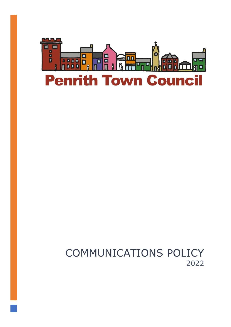

# COMMUNICATIONS POLICY 2022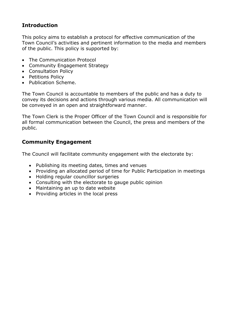### **Introduction**

This policy aims to establish a protocol for effective communication of the Town Council's activities and pertinent information to the media and members of the public. This policy is supported by:

- The Communication Protocol
- Community Engagement Strategy
- Consultation Policy
- Petitions Policy
- Publication Scheme.

The Town Council is accountable to members of the public and has a duty to convey its decisions and actions through various media. All communication will be conveyed in an open and straightforward manner.

The Town Clerk is the Proper Officer of the Town Council and is responsible for all formal communication between the Council, the press and members of the public.

### **Community Engagement**

The Council will facilitate community engagement with the electorate by:

- Publishing its meeting dates, times and venues
- Providing an allocated period of time for Public Participation in meetings
- Holding regular councillor surgeries
- Consulting with the electorate to gauge public opinion
- Maintaining an up to date website
- Providing articles in the local press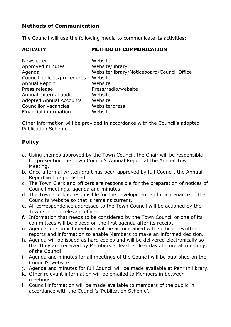### **Methods of Communication**

The Council will use the following media to communicate its activities:

### **ACTIVITY METHOD OF COMMUNICATION**

| <b>Newsletter</b>              | Website                                    |
|--------------------------------|--------------------------------------------|
| Approved minutes               | Website/library                            |
| Agenda                         | Website/library/Noticeboard/Council Office |
| Council policies/procedures    | Website                                    |
| Annual Report                  | Website                                    |
| Press release                  | Press/radio/website                        |
| Annual external audit          | Website                                    |
| <b>Adopted Annual Accounts</b> | Website                                    |
| Councillor vacancies           | Website/press                              |
| Financial information          | Website                                    |

Other information will be provided in accordance with the Council's adopted Publication Scheme.

## **Policy**

- a. Using themes approved by the Town Council, the Chair will be responsible for presenting the Town Council's Annual Report at the Annual Town Meeting.
- b. Once a formal written draft has been approved by full Council, the Annual Report will be published.
- c. The Town Clerk and officers are responsible for the preparation of notices of Council meetings, agenda and minutes.
- d. The Town Clerk is responsible for the development and maintenance of the Council's website so that it remains current.
- e. All correspondence addressed to the Town Council will be actioned by the Town Clerk or relevant officer.
- f. Information that needs to be considered by the Town Council or one of its committees will be placed on the first agenda after its receipt.
- g. Agenda for Council meetings will be accompanied with sufficient written reports and information to enable Members to make an informed decision.
- h. Agenda will be issued as hard copies and will be delivered electronically so that they are received by Members at least 3 clear days before all meetings of the Council.
- i. Agenda and minutes for all meetings of the Council will be published on the Council's website.
- j. Agenda and minutes for full Council will be made available at Penrith library.
- k. Other relevant information will be emailed to Members in between meetings.
- l. Council information will be made available to members of the public in accordance with the Council's 'Publication Scheme'.